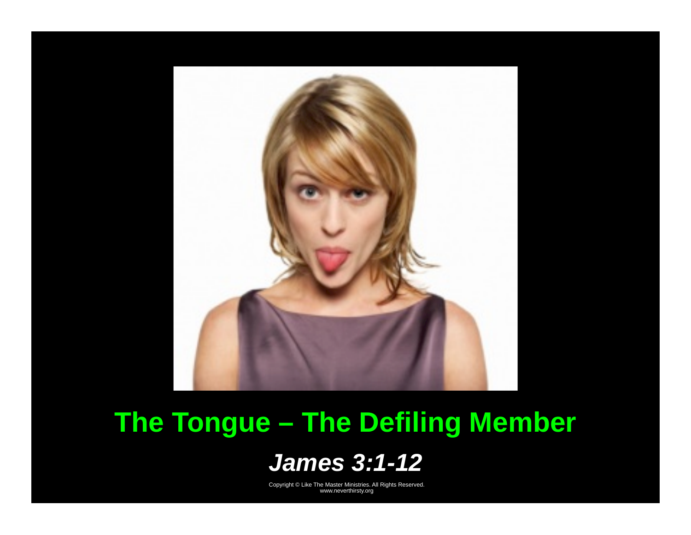

# The Tongue - The Defiling Member

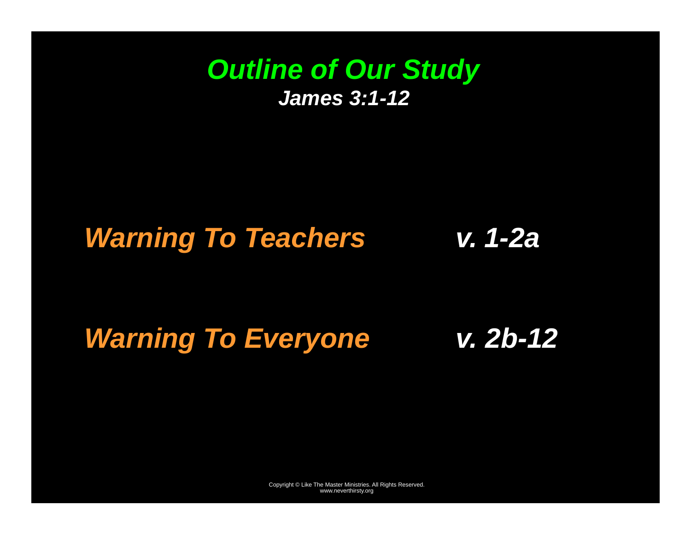#### *Outline of Our Study James 3:1-12*

#### *Warning To Teachers v. 1-2a*

#### *Warning To Everyone v. 2b-12*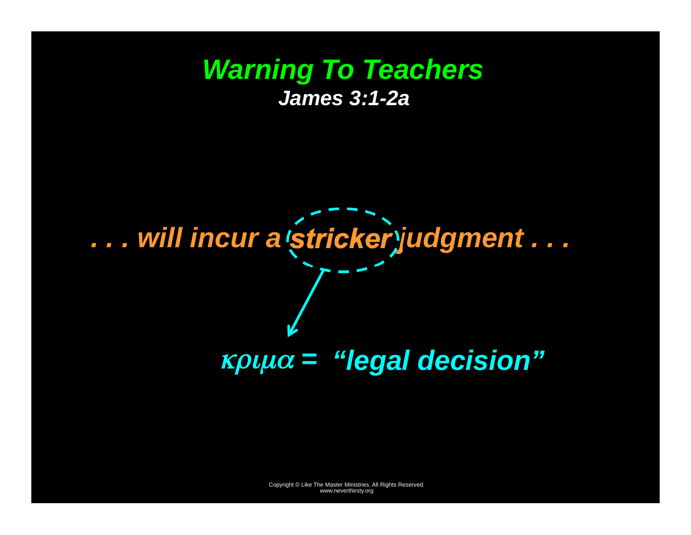### *Warning To Teachers James 3:1-2a*

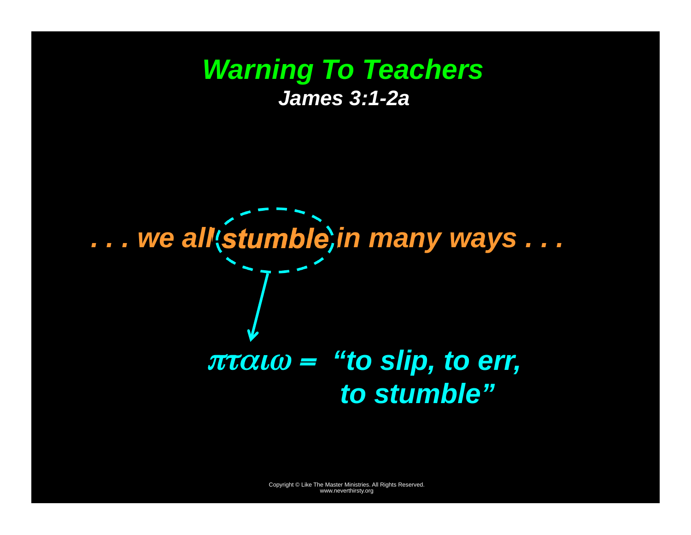### *Warning To Teachers James 3:1-2a*

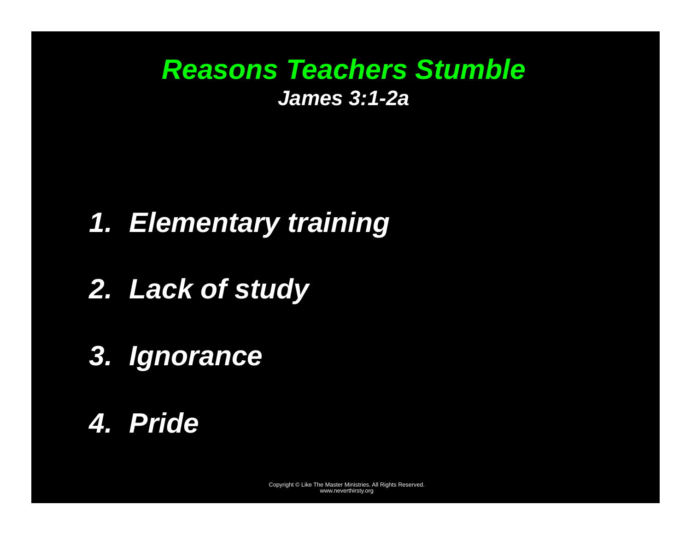# *Reasons Teachers Stumble James 3:1-2a*

# *1. Elementary training*

- *2. Lack of study*
- *3. Ignorance*
- *4. Pride*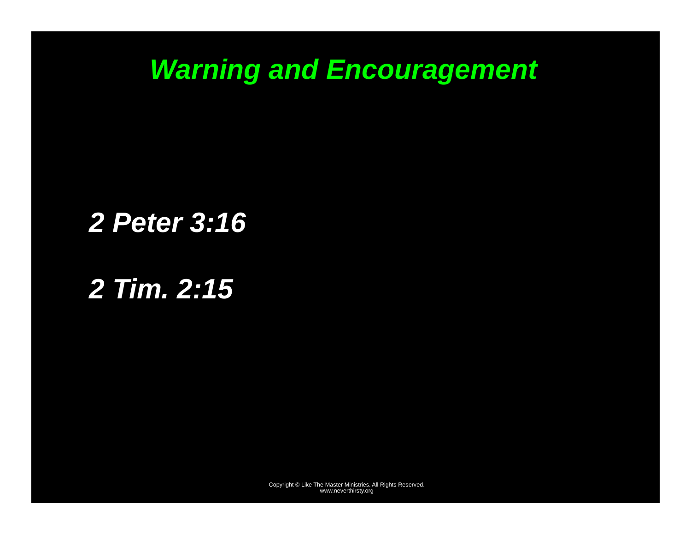# *Warning and Encouragement*

# *2 Peter 3:16*

# *2 Tim. 2:15*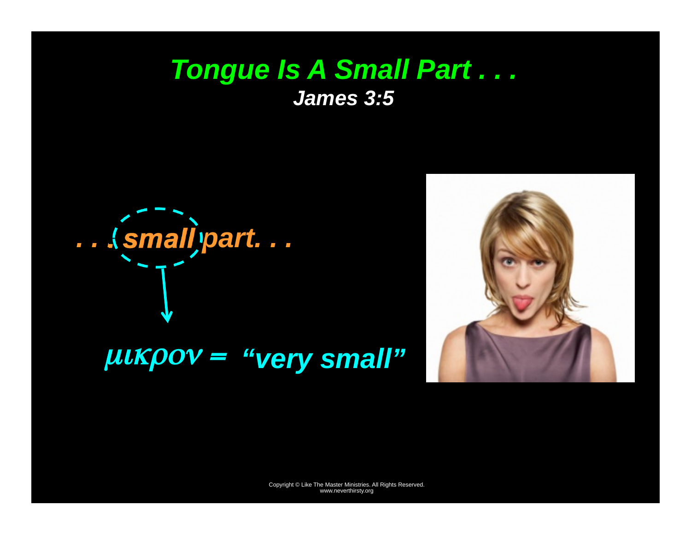#### Tongue Is A Small Part ... **James 3:5**

... (small)part...



 $\mu$ uk $\rho$ ov = "very small"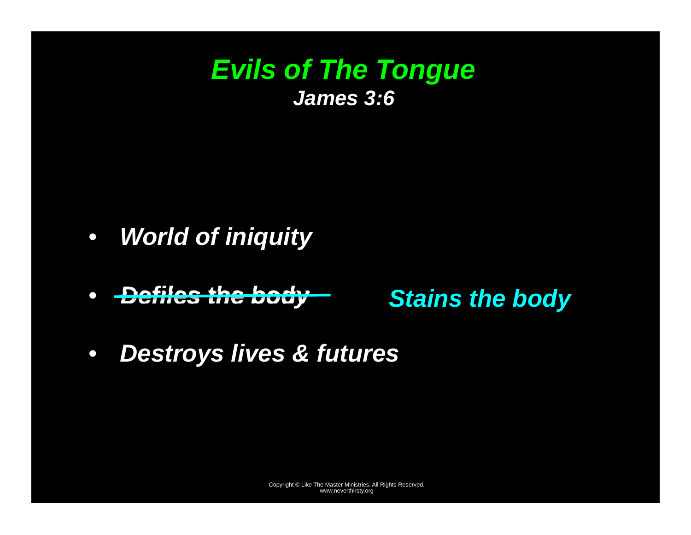### *Evils of The Tongue James 3:6*

- *World of iniquity*
- •*Defiles the body*

*Stains the body*

 $\bullet$ *Destroys lives & futures*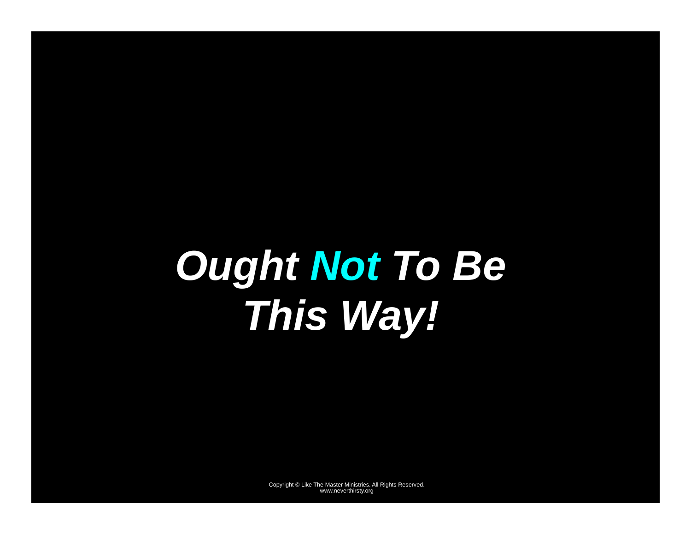# *Ought Not To Be This Way!*